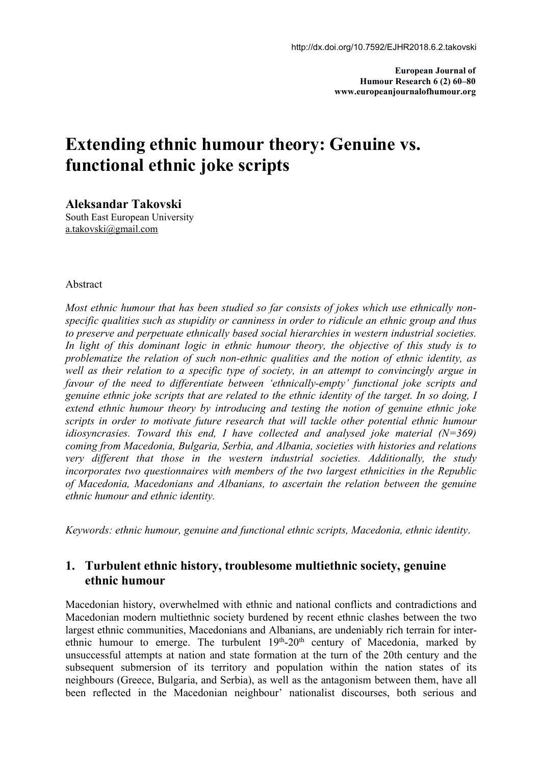**European Journal of Humour Research 6 (2) 60–80 www.europeanjournalofhumour.org**

# **Extending ethnic humour theory: Genuine vs. functional ethnic jokе scripts**

**Aleksandar Takovski** South East European University [a.takovski@gmail.com](mailto:a.takovski@gmail.com)

#### Abstract

Most ethnic humour that has been studied so far consists of jokes which use ethnically non-<br>specific qualities such as stupidity or canniness in order to ridicule an ethnic group and thus *to preserve and perpetuate ethnically based social hierarchies in western industrial societies. In light of this dominant logic in ethnic humour theory, the objective of this study is to problematize the relation of such non-ethnic qualities and the notion of ethnic identity, as well as their relation to a specific type of society, in an attempt to convincingly argue in favour of the need to dif erentiate between 'ethnically-empty' functional joke scripts and genuine ethnic joke scripts that are related to the ethnic identity of the target. In so doing, I extend ethnic humour theory by introducing and testing the notion of genuine ethnic joke scripts in order to motivate future research that will tackle other potential ethnic humour idiosyncrasies. Toward this end, I have collected and analysed joke material (N=369) coming from Macedonia, Bulgaria, Serbia, and Albania, societies with histories and relations very dif erent that those in the western industrial societies. Additionally, the study incorporates two questionnaires with members of the two largest ethnicities in the Republic of Macedonia, Macedonians and Albanians,to ascertain the relation between the genuine ethnic humour and ethnic identity.*

*Keywords: ethnic humour,genuine and functionalethnic scripts, Macedonia, ethnic identity*.

## **1. Turbulent ethnic history, troublesome multiethnic society, genuine ethnic humour**

Macedonian history, overwhelmed with ethnic and national conflicts and contradictions and Macedonian modern multiethnic society burdened by recent ethnic clashes between the two largest ethnic communities, Macedonians and Albanians, are undeniably rich terrain for inter ethnic humour to emerge. The turbulent 19<sup>th</sup>-20<sup>th</sup> century of Macedonia, marked by unsuccessful attempts at nation and state formation at the turn of the 20th century and the subsequent submersion of its territory and population within the nation states of its neighbours (Greece, Bulgaria, and Serbia), as well as the antagonism between them, have all been reflected in the Macedonian neighbour' nationalist discourses, both serious and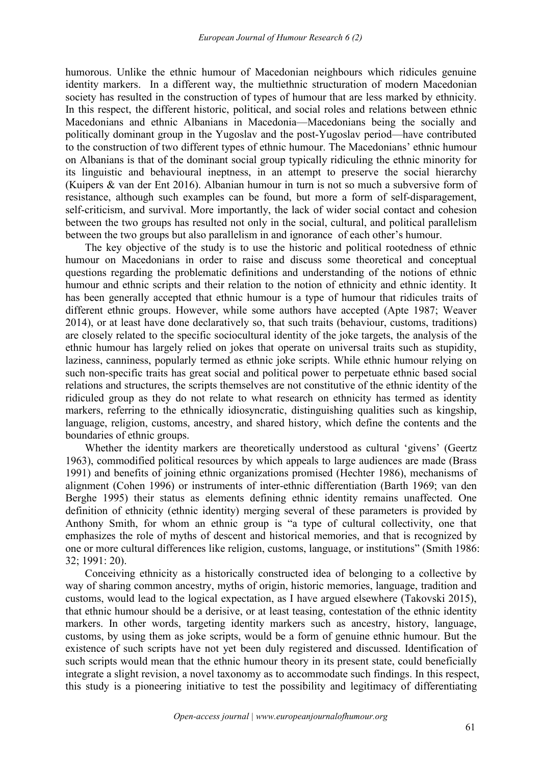humorous. Unlike the ethnic humour of Macedonian neighbours which ridicules genuine identity markers. In a different way, the multiethnic structuration of modern Macedonian society has resulted in the construction of types of humour that are less marked by ethnicity. In this respect, the different historic, political, and social roles and relations between ethnic Macedonians and ethnic Albanians in Macedonia—Macedonians being the socially and politically dominant group in the Yugoslav and the post-Yugoslav period—have contributed to the construction of two different types of ethnic humour. The Macedonians' ethnic humour on Albanians is that of the dominant social group typically ridiculing the ethnic minority for its linguistic and behavioural ineptness, in an attempt to preserve the social hierarchy (Kuipers & van der Ent 2016). Albanian humour in turn is not so much a subversive form of resistance, although such examples can be found, but more a form of self-disparagement, self-criticism, and survival. More importantly, the lack of wider social contact and cohesion between the two groups has resulted not only in the social, cultural, and political parallelism between the two groups but also parallelism in and ignorance of each other's humour.

The key objective of the study is to use the historic and political rootedness of ethnic humour on Macedonians in order to raise and discuss some theoretical and conceptual questions regarding the problematic definitions and understanding of the notions of ethnic humour and ethnic scripts and their relation to the notion of ethnicity and ethnic identity. It has been generally accepted that ethnic humour is a type of humour that ridicules traits of different ethnic groups. However, while some authors have accepted (Apte 1987; Weaver 2014), or at least have done declaratively so, that such traits (behaviour, customs, traditions) are closely related to the specific sociocultural identity of the joke targets, the analysis of the ethnic humour has largely relied on jokes that operate on universal traits such as stupidity, laziness, canniness, popularly termed as ethnic joke scripts. While ethnic humour relying on such non-specific traits has great social and political power to perpetuate ethnic based social relations and structures, the scripts themselves are not constitutive of the ethnic identity of the ridiculed group as they do not relate to what research on ethnicity has termed as identity markers, referring to the ethnically idiosyncratic, distinguishing qualities such as kingship, language, religion, customs, ancestry, and shared history, which define the contents and the boundaries of ethnic groups.

Whether the identity markers are theoretically understood as cultural 'givens' (Geertz 1963), commodified political resources by which appeals to large audiences are made (Brass 1991) and benefits of joining ethnic organizations promised (Hechter 1986), mechanisms of alignment (Cohen 1996) or instruments of inter-ethnic differentiation (Barth 1969; van den Berghe 1995) their status as elements defining ethnic identity remains unaffected. One definition of ethnicity (ethnic identity) merging several of these parameters is provided by Anthony Smith, for whom an ethnic group is "a type of cultural collectivity, one that emphasizes the role of myths of descent and historical memories, and that is recognized by one or more cultural differences like religion, customs, language, or institutions" (Smith 1986: 32; 1991: 20).

Conceiving ethnicity as a historically constructed idea of belonging to a collective by way of sharing common ancestry, myths of origin, historic memories, language, tradition and customs, would lead to the logical expectation, as I have argued elsewhere (Takovski 2015), that ethnic humour should be a derisive, or at least teasing, contestation of the ethnic identity markers. In other words, targeting identity markers such as ancestry, history, language, customs, by using them as joke scripts, would be a form of genuine ethnic humour. But the existence of such scripts have not yet been duly registered and discussed. Identification of such scripts would mean that the ethnic humour theory in its present state, could beneficially integrate a slight revision, a novel taxonomy as to accommodate such findings. In this respect, this study is a pioneering initiative to test the possibility and legitimacy of differentiating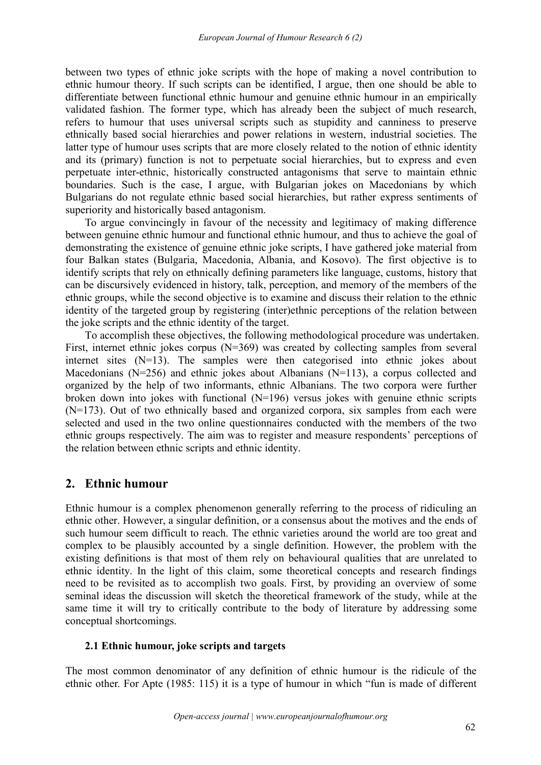between two types of ethnic joke scripts with the hope of making a novel contribution to ethnic humour theory. If such scripts can be identified, I argue, then one should be able to differentiate between functional ethnic humour and genuine ethnic humour in an empirically validated fashion. The former type, which has already been the subject of much research, refers to humour that uses universal scripts such as stupidity and canniness to preserve ethnically based social hierarchies and power relations in western, industrial societies. The latter type of humour uses scripts that are more closely related to the notion of ethnic identity and its (primary) function is not to perpetuate social hierarchies, but to express and even perpetuate inter-ethnic, historically constructed antagonisms that serve to maintain ethnic boundaries. Such is the case, I argue, with Bulgarian jokes on Macedonians by which Bulgarians do not regulate ethnic based social hierarchies, but rather express sentiments of superiority and historically based antagonism.

To argue convincingly in favour of the necessity and legitimacy of making difference between genuine ethnic humour and functional ethnic humour, and thus to achieve the goal of demonstrating the existence of genuine ethnic joke scripts, I have gathered joke material from four Balkan states (Bulgaria, Macedonia, Albania, and Kosovo). The first objective is to identify scripts that rely on ethnically defining parameters like language, customs, history that can be discursively evidenced in history, talk, perception, and memory of the members of the ethnic groups, while the second objective is to examine and discuss their relation to the ethnic identity of the targeted group by registering (inter)ethnic perceptions of the relation between the joke scripts and the ethnic identity of the target.

To accomplish these objectives, the following methodological procedure was undertaken. First, internet ethnic jokes corpus (N=369) was created by collecting samples from several internet sites (N=13). The samples were then categorised into ethnic jokes about Macedonians (N=256) and ethnic jokes about Albanians (N=113), a corpus collected and organized by the help of two informants, ethnic Albanians. The two corpora were further broken down into jokes with functional (N=196) versus jokes with genuine ethnic scripts (N=173). Out of two ethnically based and organized corpora, six samples from each were selected and used in the two online questionnaires conducted with the members of the two ethnic groups respectively. The aim was to register and measure respondents' perceptions of the relation between ethnic scripts and ethnic identity.

# **2. Ethnic humour**

Ethnic humour is a complex phenomenon generally referring to the process of ridiculing an ethnic other. However, a singular definition, or a consensus about the motives and the ends of such humour seem difficult to reach. The ethnic varieties around the world are too great and complex to be plausibly accounted by a single definition. However, the problem with the existing definitions is that most of them rely on behavioural qualities that are unrelated to ethnic identity. In the light of this claim, some theoretical concepts and research findings need to be revisited as to accomplish two goals. First, by providing an overview of some seminal ideas the discussion will sketch the theoretical framework of the study, while at the same time it will try to critically contribute to the body of literature by addressing some conceptual shortcomings.

## **2.1 Ethnic humour, joke scripts and targets**

The most common denominator of any definition of ethnic humour is the ridicule of the ethnic other. For Apte (1985: 115) it is a type of humour in which "fun is made of different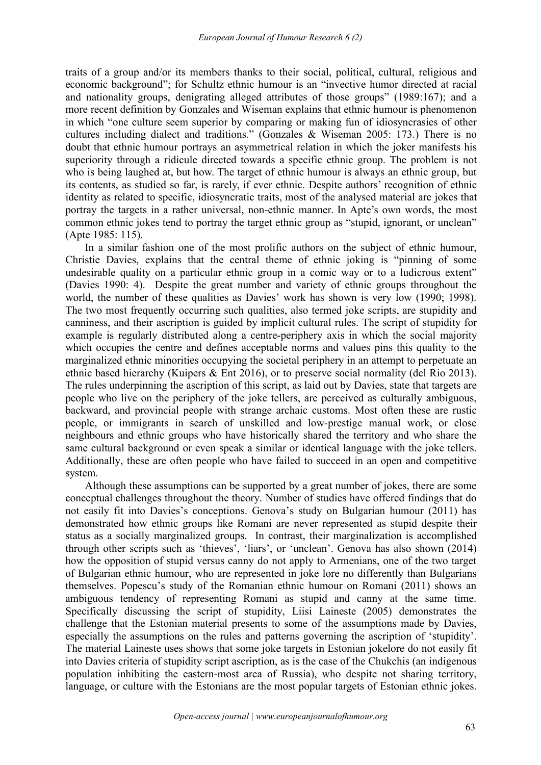traits of a group and/or its members thanks to their social, political, cultural, religious and economic background"; for Schultz ethnic humour is an "invective humor directed at racial and nationality groups, denigrating alleged attributes of those groups" (1989:167); and a more recent definition by Gonzales and Wiseman explains that ethnic humour is phenomenon in which "one culture seem superior by comparing or making fun of idiosyncrasies of other cultures including dialect and traditions." (Gonzales & Wiseman 2005: 173.) There is no doubt that ethnic humour portrays an asymmetrical relation in which the joker manifests his superiority through a ridicule directed towards a specific ethnic group. The problem is not who is being laughed at, but how. The target of ethnic humour is always an ethnic group, but its contents, as studied so far, is rarely, if ever ethnic. Despite authors' recognition of ethnic identity as related to specific, idiosyncratic traits, most of the analysed material are jokes that portray the targets in a rather universal, non-ethnic manner. In Apte's own words, the most common ethnic jokes tend to portray the target ethnic group as "stupid, ignorant, or unclean" (Apte 1985: 115).

In a similar fashion one of the most prolific authors on the subject of ethnic humour, Christie Davies, explains that the central theme of ethnic joking is "pinning of some undesirable quality on a particular ethnic group in a comic way or to a ludicrous extent" (Davies 1990: 4). Despite the great number and variety of ethnic groups throughout the world, the number of these qualities as Davies' work has shown is very low (1990; 1998). The two most frequently occurring such qualities, also termed joke scripts, are stupidity and canniness, and their ascription is guided by implicit cultural rules. The script of stupidity for example is regularly distributed along a centre-periphery axis in which the social majority which occupies the centre and defines acceptable norms and values pins this quality to the marginalized ethnic minorities occupying the societal periphery in an attempt to perpetuate an ethnic based hierarchy (Kuipers & Ent 2016), or to preserve social normality (del Rio 2013). The rules underpinning the ascription of this script, as laid out by Davies, state that targets are people who live on the periphery of the joke tellers, are perceived as culturally ambiguous, backward, and provincial people with strange archaic customs. Most often these are rustic people, or immigrants in search of unskilled and low-prestige manual work, or close neighbours and ethnic groups who have historically shared the territory and who share the same cultural background or even speak a similar or identical language with the joke tellers. Additionally, these are often people who have failed to succeed in an open and competitive system.

Although these assumptions can be supported by a great number of jokes, there are some conceptual challenges throughout the theory. Number of studies have offered findings that do not easily fit into Davies's conceptions. Genova's study on Bulgarian humour (2011) has demonstrated how ethnic groups like Romani are never represented as stupid despite their status as a socially marginalized groups. In contrast, their marginalization is accomplished through other scripts such as 'thieves', 'liars', or 'unclean'. Genova has also shown (2014) how the opposition of stupid versus canny do not apply to Armenians, one of the two target of Bulgarian ethnic humour, who are represented in joke lore no differently than Bulgarians themselves. Popescu's study of the Romanian ethnic humour on Romani (2011) shows an ambiguous tendency of representing Romani as stupid and canny at the same time. Specifically discussing the script of stupidity, Liisi Laineste (2005) demonstrates the challenge that the Estonian material presents to some of the assumptions made by Davies, especially the assumptions on the rules and patterns governing the ascription of 'stupidity'. The material Laineste uses shows that some joke targets in Estonian jokelore do not easily fit into Davies criteria of stupidity script ascription, as is the case of the Chukchis (an indigenous population inhibiting the eastern-most area of Russia), who despite not sharing territory, language, or culture with the Estonians are the most popular targets of Estonian ethnic jokes.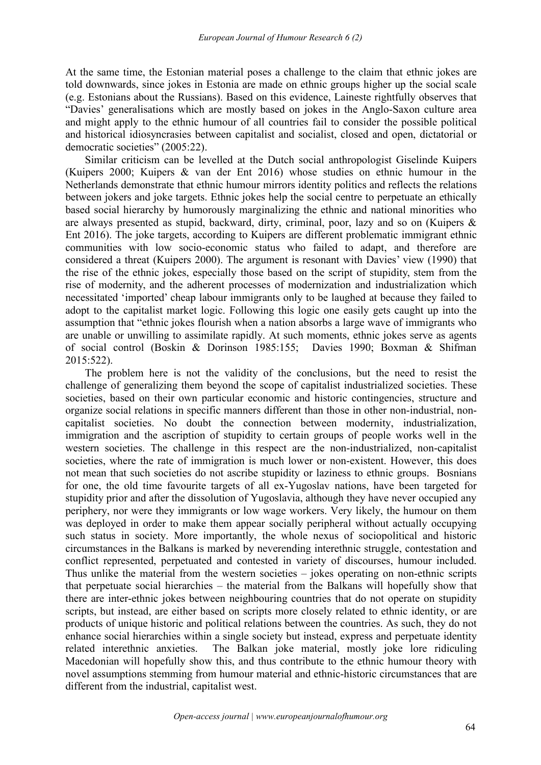At the same time, the Estonian material poses a challenge to the claim that ethnic jokes are told downwards, since jokes in Estonia are made on ethnic groups higher up the social scale (e.g. Estonians about the Russians). Based on this evidence, Laineste rightfully observes that "Davies' generalisations which are mostly based on jokes in the Anglo-Saxon culture area and might apply to the ethnic humour of all countries fail to consider the possible political and historical idiosyncrasies between capitalist and socialist, closed and open, dictatorial or democratic societies" (2005:22).

Similar criticism can be levelled at the Dutch social anthropologist Giselinde Kuipers (Kuipers 2000; Kuipers & van der Ent 2016) whose studies on ethnic humour in the Netherlands demonstrate that ethnic humour mirrors identity politics and reflects the relations between jokers and joke targets. Ethnic jokes help the social centre to perpetuate an ethically based social hierarchy by humorously marginalizing the ethnic and national minorities who are always presented as stupid, backward, dirty, criminal, poor, lazy and so on (Kuipers & Ent 2016). The joke targets, according to Kuipers are different problematic immigrant ethnic communities with low socio-economic status who failed to adapt, and therefore are considered a threat (Kuipers 2000). The argument is resonant with Davies' view (1990) that the rise of the ethnic jokes, especially those based on the script of stupidity, stem from the rise of modernity, and the adherent processes of modernization and industrialization which necessitated 'imported' cheap labour immigrants only to be laughed at because they failed to adopt to the capitalist market logic. Following this logic one easily gets caught up into the assumption that "ethnic jokes flourish when a nation absorbs a large wave of immigrants who are unable or unwilling to assimilate rapidly. At such moments, ethnic jokes serve as agents of social control (Boskin & Dorinson 1985:155; Davies 1990; Boxman & Shifman 2015:522).

The problem here is not the validity of the conclusions, but the need to resist the challenge of generalizing them beyond the scope of capitalist industrialized societies. These societies, based on their own particular economic and historic contingencies, structure and organize social relations in specific manners different than those in other non-industrial, non capitalist societies. No doubt the connection between modernity, industrialization, immigration and the ascription of stupidity to certain groups of people works well in the western societies. The challenge in this respect are the non-industrialized, non-capitalist societies, where the rate of immigration is much lower or non-existent. However, this does not mean that such societies do not ascribe stupidity or laziness to ethnic groups. Bosnians for one, the old time favourite targets of all ex-Yugoslav nations, have been targeted for stupidity prior and after the dissolution of Yugoslavia, although they have never occupied any periphery, nor were they immigrants or low wage workers. Very likely, the humour on them was deployed in order to make them appear socially peripheral without actually occupying such status in society. More importantly, the whole nexus of sociopolitical and historic circumstances in the Balkans is marked by neverending interethnic struggle, contestation and conflict represented, perpetuated and contested in variety of discourses, humour included. Thus unlike the material from the western societies – jokes operating on non-ethnic scripts that perpetuate social hierarchies – the material from the Balkans will hopefully show that there are inter-ethnic jokes between neighbouring countries that do not operate on stupidity scripts, but instead, are either based on scripts more closely related to ethnic identity, or are products of unique historic and political relations between the countries. As such, they do not enhance social hierarchies within a single society but instead, express and perpetuate identity related interethnic anxieties. The Balkan joke material, mostly joke lore ridiculing Macedonian will hopefully show this, and thus contribute to the ethnic humour theory with novel assumptions stemming from humour material and ethnic-historic circumstances that are different from the industrial, capitalist west.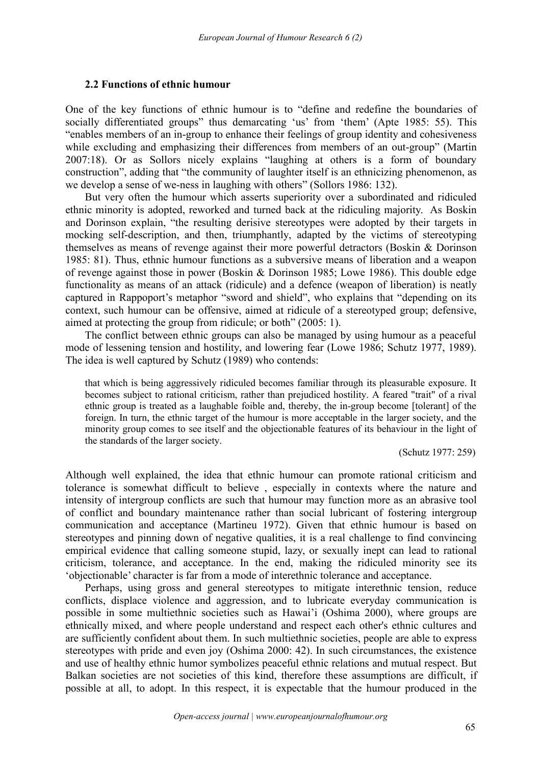#### **2.2 Functions ofethnic humour**

One of the key functions of ethnic humour is to "define and redefine the boundaries of socially differentiated groups" thus demarcating 'us' from 'them' (Apte 1985: 55). This "enables members of an in-group to enhance their feelings of group identity and cohesiveness while excluding and emphasizing their differences from members of an out-group" (Martin 2007:18). Or as Sollors nicely explains "laughing at others is a form of boundary construction", adding that "the community of laughter itself is an ethnicizing phenomenon, as we develop a sense of we-ness in laughing with others" (Sollors 1986: 132).

But very often the humour which asserts superiority over a subordinated and ridiculed ethnic minority is adopted, reworked and turned back at the ridiculing majority. As Boskin and Dorinson explain, "the resulting derisive stereotypes were adopted by their targets in mocking self-description, and then, triumphantly, adapted by the victims of stereotyping themselves as means of revenge against their more powerful detractors (Boskin & Dorinson 1985: 81). Thus, ethnic humour functions as a subversive means of liberation and a weapon of revenge against those in power (Boskin & Dorinson 1985; Lowe 1986). This double edge functionality as means of an attack (ridicule) and a defence (weapon of liberation) is neatly captured in Rappoport's metaphor "sword and shield", who explains that "depending on its context, such humour can be offensive, aimed at ridicule of a stereotyped group; defensive, aimed at protecting the group from ridicule; or both" (2005: 1).

The conflict between ethnic groups can also be managed by using humour as a peaceful mode of lessening tension and hostility, and lowering fear (Lowe 1986; Schutz 1977, 1989). The idea is well captured by Schutz (1989) who contends:

that which is being aggressively ridiculed becomes familiar through its pleasurable exposure. It becomes subject to rational criticism, rather than prejudiced hostility. A feared "trait" of a rival ethnic group is treated as a laughable foible and, thereby, the in-group become [tolerant] of the foreign. In turn, the ethnic target of the humour is more acceptable in the larger society, and the minority group comes to see itself and the objectionable features of its behaviour in the light of the standards of the larger society.

(Schutz 1977: 259)

Although well explained, the idea that ethnic humour can promote rational criticism and tolerance is somewhat difficult to believe , especially in contexts where the nature and intensity of intergroup conflicts are such that humour may function more as an abrasive tool of conflict and boundary maintenance rather than social lubricant of fostering intergroup communication and acceptance (Martineu 1972). Given that ethnic humour is based on stereotypes and pinning down of negative qualities, it is a real challenge to find convincing empirical evidence that calling someone stupid, lazy, or sexually inept can lead to rational criticism, tolerance, and acceptance. In the end, making the ridiculed minority see its 'objectionable' character is far from a mode of interethnic tolerance and acceptance.

Perhaps, using gross and general stereotypes to mitigate interethnic tension, reduce conflicts, displace violence and aggression, and to lubricate everyday communication is possible in some multiethnic societies such as Hawai'i (Oshima 2000), where groups are ethnically mixed, and where people understand and respect each other's ethnic cultures and are sufficiently confident about them. In such multiethnic societies, people are able to express stereotypes with pride and even joy (Oshima 2000: 42). In such circumstances, the existence and use of healthy ethnic humor symbolizes peaceful ethnic relations and mutual respect. But Balkan societies are not societies of this kind, therefore these assumptions are difficult, if possible at all, to adopt. In this respect, it is expectable that the humour produced in the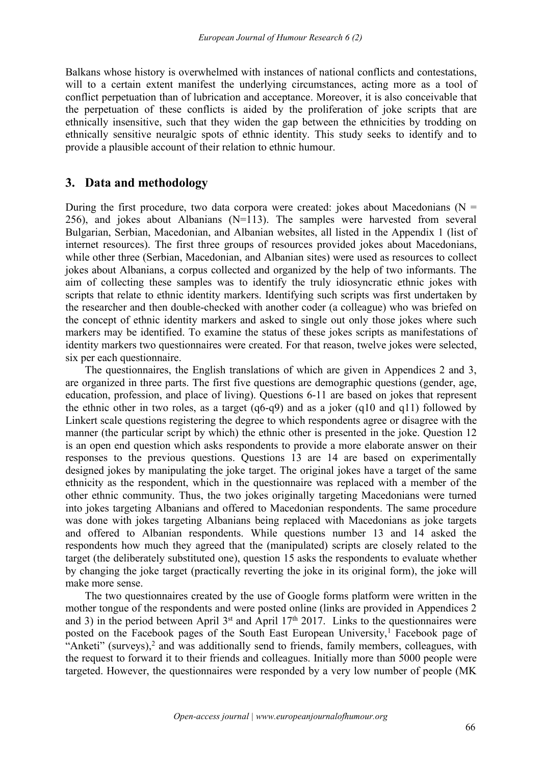Balkans whose history is overwhelmed with instances of national conflicts and contestations, will to a certain extent manifest the underlying circumstances, acting more as a tool of conflict perpetuation than of lubrication and acceptance. Moreover, it is also conceivable that the perpetuation of these conflicts is aided by the proliferation of joke scripts that are ethnically insensitive, such that they widen the gap between the ethnicities by trodding on ethnically sensitive neuralgic spots of ethnic identity. This study seeks to identify and to provide a plausible account of their relation to ethnic humour.

## **3. Data and methodology**

During the first procedure, two data corpora were created: jokes about Macedonians ( $N =$ 256), and jokes about Albanians (N=113). The samples were harvested from several Bulgarian, Serbian, Macedonian, and Albanian websites, all listed in the Appendix 1 (list of internet resources). The first three groups of resources provided jokes about Macedonians, while other three (Serbian, Macedonian, and Albanian sites) were used as resources to collect jokes about Albanians, a corpus collected and organized by the help of two informants. The aim of collecting these samples was to identify the truly idiosyncratic ethnic jokes with scripts that relate to ethnic identity markers. Identifying such scripts was first undertaken by the researcher and then double-checked with another coder (a colleague) who was briefed on the concept of ethnic identity markers and asked to single out only those jokes where such markers may be identified. To examine the status of these jokes scripts as manifestations of identity markers two questionnaires were created. For that reason, twelve jokes were selected, six per each questionnaire.

The questionnaires, the English translations of which are given in Appendices 2 and 3, are organized in three parts. The first five questions are demographic questions (gender, age, education, profession, and place of living). Questions 6-11 are based on jokes that represent the ethnic other in two roles, as a target (q6-q9) and as a joker (q10 and q11) followed by Linkert scale questions registering the degree to which respondents agree or disagree with the manner (the particular script by which) the ethnic other is presented in the joke. Question 12 is an open end question which asks respondents to provide a more elaborate answer on their responses to the previous questions. Questions 13 are 14 are based on experimentally designed jokes by manipulating the joke target. The original jokes have a target of the same ethnicity as the respondent, which in the questionnaire was replaced with a member of the other ethnic community. Thus, the two jokes originally targeting Macedonians were turned into jokes targeting Albanians and offered to Macedonian respondents. The same procedure was done with jokes targeting Albanians being replaced with Macedonians as joke targets and offered to Albanian respondents. While questions number 13 and 14 asked the respondents how much they agreed that the (manipulated) scripts are closely related to the target (the deliberately substituted one), question 15 asks the respondents to evaluate whether by changing the joke target (practically reverting the joke in its original form), the joke will make more sense.

The two questionnaires created by the use of Google forms platform were written in the mother tongue of the respondents and were posted online (links are provided in Appendices 2 and 3) in the period between April  $3<sup>st</sup>$  and April 17<sup>th</sup> 2017. Links to the questionnaires were posted on the Facebook pages of the South East European University,<sup>[1](#page-14-0)</sup> Facebook page of "Anketi" (surveys),<sup>[2](#page-14-1)</sup> and was additionally send to friends, family members, colleagues, with the request to forward it to their friends and colleagues. Initially more than 5000 people were targeted. However, the questionnaires were responded by a very low number of people (MK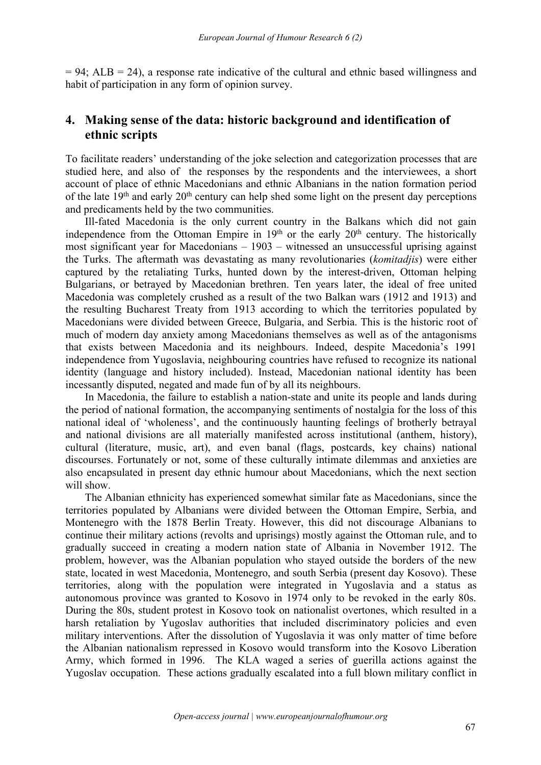$= 94$ ; ALB  $= 24$ ), a response rate indicative of the cultural and ethnic based willingness and habit of participation in any form of opinion survey.

## **4. Making sense of the data: historic background and identification of ethnic scripts**

To facilitate readers' understanding of the joke selection and categorization processes that are studied here, and also of the responses by the respondents and the interviewees, a short account of place of ethnic Macedonians and ethnic Albanians in the nation formation period of the late 19<sup>th</sup> and early 20<sup>th</sup> century can help shed some light on the present day perceptions and predicaments held by the two communities.

Ill-fated Macedonia is the only current country in the Balkans which did not gain independence from the Ottoman Empire in  $19<sup>th</sup>$  or the early  $20<sup>th</sup>$  century. The historically most significant year for Macedonians – 1903 – witnessed an unsuccessful uprising against the Turks. The aftermath was devastating as many revolutionaries (*komitadjis*) were either captured by the retaliating Turks, hunted down by the interest-driven, Ottoman helping Bulgarians, or betrayed by Macedonian brethren. Ten years later, the ideal of free united Macedonia was completely crushed as a result of the two Balkan wars (1912 and 1913) and the resulting Bucharest Treaty from 1913 according to which the territories populated by Macedonians were divided between Greece, Bulgaria, and Serbia. This is the historic root of much of modern day anxiety among Macedonians themselves as well as of the antagonisms that exists between Macedonia and its neighbours. Indeed, despite Macedonia's 1991 independence from Yugoslavia, neighbouring countries have refused to recognize its national identity (language and history included). Instead, Macedonian national identity has been incessantly disputed, negated and made fun of by all its neighbours.

In Macedonia, the failure to establish a nation-state and unite its people and lands during the period of national formation, the accompanying sentiments of nostalgia for the loss ofthis national ideal of 'wholeness', and the continuously haunting feelings of brotherly betrayal and national divisions are all materially manifested across institutional (anthem, history), cultural (literature, music, art), and even banal (flags, postcards, key chains) national discourses. Fortunately or not, some of these culturally intimate dilemmas and anxieties are also encapsulated in present day ethnic humour about Macedonians, which the next section will show.

The Albanian ethnicity has experienced somewhat similar fate as Macedonians, since the territories populated by Albanians were divided between the Ottoman Empire, Serbia, and Montenegro with the 1878 Berlin Treaty. However, this did not discourage Albanians to continue their military actions (revolts and uprisings) mostly against the Ottoman rule, and to gradually succeed in creating a modern nation state of Albania in November 1912. The problem, however, was the Albanian population who stayed outside the borders of the new state, located in west Macedonia, Montenegro, and south Serbia (present day Kosovo). These territories, along with the population were integrated in Yugoslavia and a status as autonomous province was granted to Kosovo in 1974 only to be revoked in the early 80s. During the 80s, student protest in Kosovo took on nationalist overtones, which resulted in a harsh retaliation by Yugoslav authorities that included discriminatory policies and even military interventions. After the dissolution of Yugoslavia it was only matter of time before the Albanian nationalism repressed in Kosovo would transform into the Kosovo Liberation Army, which formed in 1996. The KLA waged a series of guerilla actions against the Yugoslav occupation. These actions gradually escalated into a full blown military conflict in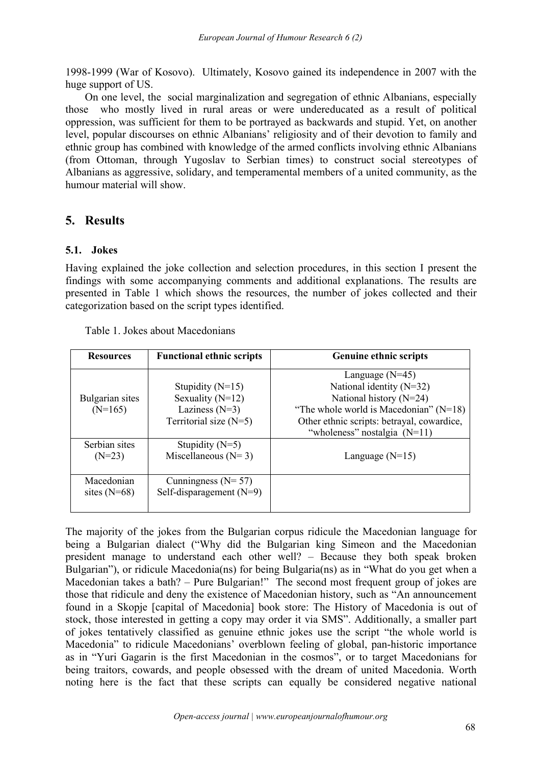1998-1999 (War of Kosovo). Ultimately, Kosovo gained its independence in 2007 with the huge support of US.

On one level, the social marginalization and segregation of ethnic Albanians, especially those who mostly lived in rural areas or were undereducated as a result of political oppression, was sufficient for them to be portrayed as backwards and stupid. Yet, on another level, popular discourses on ethnic Albanians' religiosity and of their devotion to family and ethnic group has combined with knowledge of the armed conflicts involving ethnic Albanians (from Ottoman, through Yugoslav to Serbian times) to construct social stereotypes of Albanians as aggressive, solidary, and temperamental members of a united community, as the humour material will show.

# **5. Results**

### **5.1. Jokes**

Having explained the joke collection and selection procedures, in this section I present the findings with some accompanying comments and additional explanations. The results are presented in Table 1 which shows the resources, the number of jokes collected and their categorization based on the script types identified.

| <b>Resources</b>             | <b>Functional ethnic scripts</b>                                   | <b>Genuine ethnic scripts</b>                                                                                                                         |  |  |  |
|------------------------------|--------------------------------------------------------------------|-------------------------------------------------------------------------------------------------------------------------------------------------------|--|--|--|
|                              | Stupidity $(N=15)$                                                 | Language $(N=45)$<br>National identity $(N=32)$                                                                                                       |  |  |  |
| Bulgarian sites<br>$(N=165)$ | Sexuality $(N=12)$<br>Laziness $(N=3)$<br>Territorial size $(N=5)$ | National history $(N=24)$<br>"The whole world is Macedonian" $(N=18)$<br>Other ethnic scripts: betrayal, cowardice,<br>"wholeness" nostalgia $(N=11)$ |  |  |  |
| Serbian sites<br>$(N=23)$    | Stupidity $(N=5)$<br>Miscellaneous $(N=3)$                         | Language $(N=15)$                                                                                                                                     |  |  |  |
| Macedonian<br>sites $(N=68)$ | Cunningness $(N=57)$<br>Self-disparagement $(N=9)$                 |                                                                                                                                                       |  |  |  |

| Table 1. Jokes about Macedonians |  |
|----------------------------------|--|
|----------------------------------|--|

The majority of the jokes from the Bulgarian corpus ridicule the Macedonian language for being a Bulgarian dialect ("Why did the Bulgarian king Simeon and the Macedonian president manage to understand each other well? – Because they both speak broken Bulgarian"), or ridicule Macedonia(ns) for being Bulgaria(ns) as in "What do you get when a Macedonian takes a bath? – Pure Bulgarian!" The second most frequent group of jokes are those that ridicule and deny the existence of Macedonian history, such as "An announcement found in a Skopje [capital of Macedonia] book store: The History of Macedonia is out of stock, those interested in getting a copy may order it via SMS". Additionally, a smaller part of jokes tentatively classified as genuine ethnic jokes use the script "the whole world is Macedonia" to ridicule Macedonians' overblown feeling of global, pan-historic importance as in "Yuri Gagarin is the first Macedonian in the cosmos", or to target Macedonians for being traitors, cowards, and people obsessed with the dream of united Macedonia. Worth noting here is the fact that these scripts can equally be considered negative national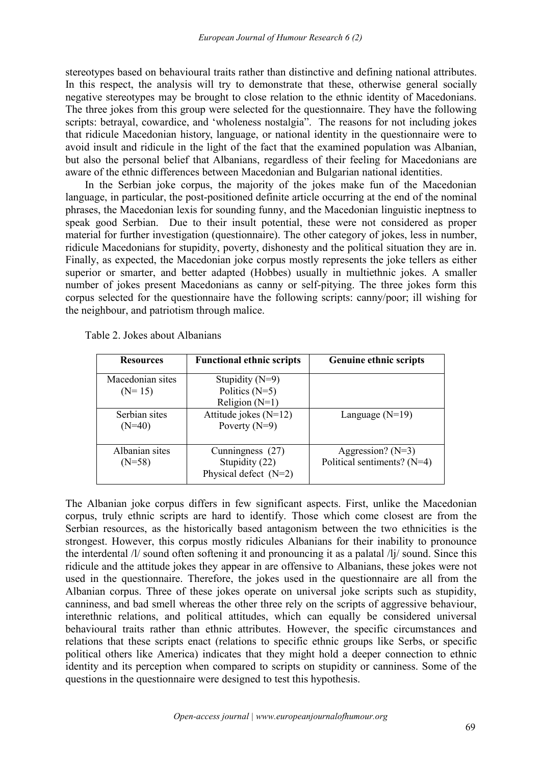stereotypes based on behavioural traits rather than distinctive and defining national attributes. In this respect, the analysis will try to demonstrate that these, otherwise general socially negative stereotypes may be brought to close relation to the ethnic identity of Macedonians. The three jokes from this group were selected for the questionnaire. They have the following scripts: betrayal, cowardice, and 'wholeness nostalgia". The reasons for not including jokes that ridicule Macedonian history, language, or national identity in the questionnaire were to avoid insult and ridicule in the light of the fact that the examined population was Albanian, but also the personal belief that Albanians, regardless of their feeling for Macedonians are aware of the ethnic differences between Macedonian and Bulgarian national identities.

In the Serbian joke corpus, the majority of the jokes make fun of the Macedonian language, in particular, the post-positioned definite article occurring at the end of the nominal phrases, the Macedonian lexis for sounding funny, and the Macedonian linguistic ineptness to speak good Serbian. Due to their insult potential, these were not considered as proper material for further investigation (questionnaire). The other category of jokes, less in number, ridicule Macedonians for stupidity, poverty, dishonesty and the political situation they are in. Finally, as expected, the Macedonian joke corpus mostly represents the joke tellers as either superior or smarter, and better adapted (Hobbes) usually in multiethnic jokes. A smaller number of jokes present Macedonians as canny or self-pitying. The three jokes form this corpus selected for the questionnaire have the following scripts: canny/poor; ill wishing for the neighbour, and patriotism through malice.

| <b>Resources</b>             | <b>Functional ethnic scripts</b>                              | <b>Genuine ethnic scripts</b>                        |
|------------------------------|---------------------------------------------------------------|------------------------------------------------------|
| Macedonian sites<br>$(N=15)$ | Stupidity $(N=9)$<br>Politics $(N=5)$<br>Religion $(N=1)$     |                                                      |
| Serbian sites<br>$(N=40)$    | Attitude jokes $(N=12)$<br>Poverty $(N=9)$                    | Language $(N=19)$                                    |
| Albanian sites<br>$(N=58)$   | Cunningness (27)<br>Stupidity (22)<br>Physical defect $(N=2)$ | Aggression? $(N=3)$<br>Political sentiments? $(N=4)$ |

Table 2. Jokes about Albanians

The Albanian joke corpus differs in few significant aspects. First, unlike the Macedonian corpus, truly ethnic scripts are hard to identify. Those which come closestare from the Serbian resources, as the historically based antagonism between the two ethnicities is the strongest. However, this corpus mostly ridicules Albanians for their inability to pronounce the interdental /l/ sound often softening it and pronouncing it as a palatal /lj/ sound. Since this ridicule and the attitude jokes they appear in are offensive to Albanians, these jokes were not used in the questionnaire. Therefore, the jokes used in the questionnaire are all from the Albanian corpus. Three of these jokes operate on universal joke scripts such as stupidity, canniness, and bad smell whereas the other three rely on the scripts of aggressive behaviour, interethnic relations, and political attitudes, which can equally be considered universal behavioural traits rather than ethnic attributes. However, the specific circumstances and relations that these scripts enact (relations to specific ethnic groups like Serbs, or specific political others like America) indicates that they might hold a deeper connection to ethnic identity and its perception when compared to scripts on stupidity or canniness. Some of the questions in the questionnaire were designed to test this hypothesis.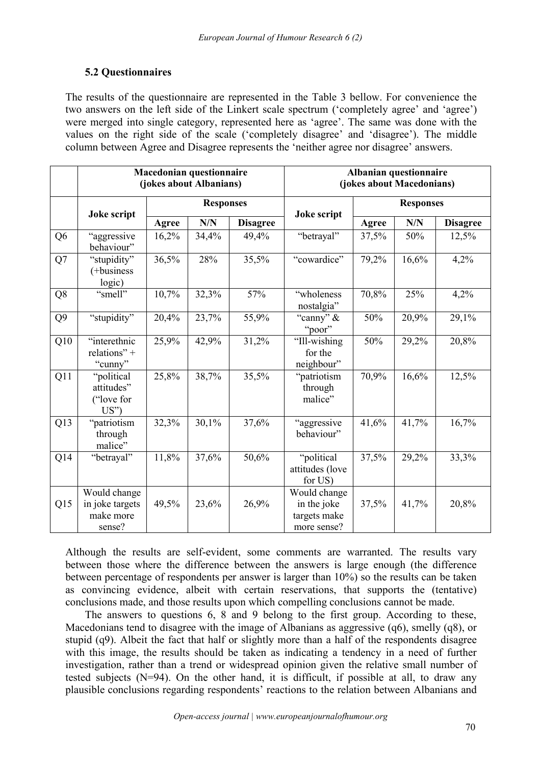## **5.2 Questionnaires**

The results of the questionnaire are represented in the Table 3 bellow. For convenience the two answers on the left side of the Linkert scale spectrum ('completely agree' and 'agree') were merged into single category, represented here as 'agree'. The same was done with the values on the right side of the scale ('completely disagree' and 'disagree'). The middle column between Agree and Disagree represents the 'neither agree nor disagree' answers.

|                | <b>Macedonian questionnaire</b><br>(jokes about Albanians) |                  |       | Albanian questionnaire<br>(jokes about Macedonians) |                                                            |                  |       |                 |
|----------------|------------------------------------------------------------|------------------|-------|-----------------------------------------------------|------------------------------------------------------------|------------------|-------|-----------------|
|                | Joke script                                                | <b>Responses</b> |       |                                                     | Joke script                                                | <b>Responses</b> |       |                 |
|                |                                                            | Agree            | N/N   | <b>Disagree</b>                                     |                                                            | Agree            | N/N   | <b>Disagree</b> |
| Q <sub>6</sub> | "aggressive<br>behaviour"                                  | 16,2%            | 34,4% | 49,4%                                               | "betrayal"                                                 | 37,5%            | 50%   | 12,5%           |
| Q7             | "stupidity"<br>(+business<br>logic)                        | 36,5%            | 28%   | 35,5%                                               | "cowardice"                                                | 79,2%            | 16,6% | 4,2%            |
| Q <sub>8</sub> | "smell"                                                    | 10,7%            | 32,3% | 57%                                                 | "wholeness<br>nostalgia"                                   | 70,8%            | 25%   | 4,2%            |
| Q <sub>9</sub> | "stupidity"                                                | 20,4%            | 23,7% | 55,9%                                               | "canny" &<br>"poor"                                        | 50%              | 20,9% | 29,1%           |
| Q10            | "interethnic<br>relations" +<br>"cunny"                    | 25,9%            | 42,9% | 31,2%                                               | "Ill-wishing<br>for the<br>neighbour"                      | 50%              | 29,2% | 20,8%           |
| Q11            | "political<br>attitudes"<br>("love for<br>US'              | 25,8%            | 38,7% | 35,5%                                               | "patriotism<br>through<br>malice"                          | 70,9%            | 16,6% | 12,5%           |
| Q13            | "patriotism<br>through<br>malice"                          | 32,3%            | 30,1% | 37,6%                                               | "aggressive<br>behaviour"                                  | 41,6%            | 41,7% | 16,7%           |
| Q14            | "betrayal"                                                 | 11,8%            | 37,6% | 50,6%                                               | "political<br>attitudes (love<br>for US)                   | 37,5%            | 29,2% | 33,3%           |
| Q15            | Would change<br>in joke targets<br>make more<br>sense?     | 49,5%            | 23,6% | 26,9%                                               | Would change<br>in the joke<br>targets make<br>more sense? | 37,5%            | 41,7% | 20,8%           |

Although the results are self-evident, some comments are warranted. The results vary between those where the difference between the answers is large enough (the difference between percentage of respondents per answer is larger than 10%) so the results can be taken as convincing evidence, albeit with certain reservations, that supports the (tentative) conclusions made, and those results upon which compelling conclusions cannot be made.

The answers to questions 6, 8 and 9 belong to the first group. According to these, Macedonians tend to disagree with the image of Albanians as aggressive (q6), smelly (q8), or stupid (q9). Albeit the fact that half or slightly more than a half of the respondents disagree with this image, the results should be taken as indicating a tendency in a need of further investigation, rather than a trend or widespread opinion given the relative small number of tested subjects (N=94). On the other hand, it is difficult, if possible at all, to draw any plausible conclusions regarding respondents' reactions to the relation between Albanians and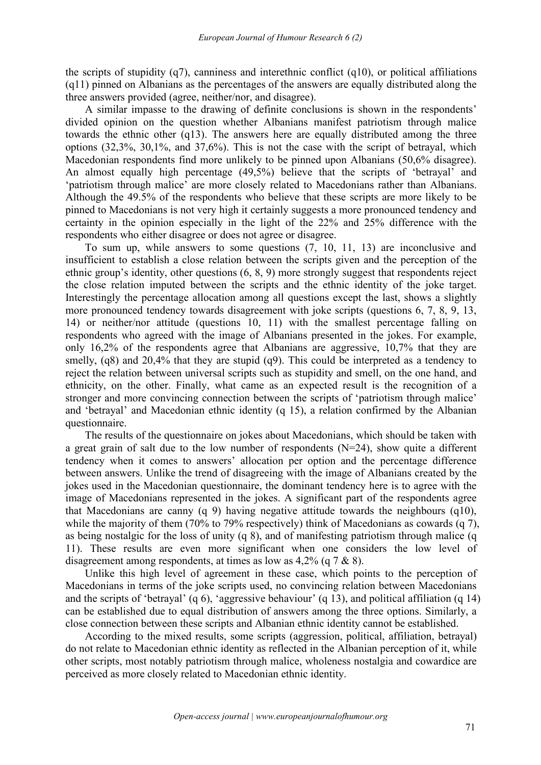the scripts of stupidity  $(q7)$ , canniness and interethnic conflict  $(q10)$ , or political affiliations (q11) pinned on Albanians as the percentages of the answers are equally distributed along the three answers provided (agree, neither/nor, and disagree).

A similar impasse to the drawing of definite conclusions is shown in the respondents' divided opinion on the question whether Albanians manifest patriotism through malice towards the ethnic other (q13). The answers here are equally distributed among the three options (32,3%, 30,1%, and 37,6%). This is not the case with the script of betrayal, which Macedonian respondents find more unlikely to be pinned upon Albanians (50,6% disagree). An almost equally high percentage (49,5%) believe that the scripts of 'betrayal' and 'patriotism through malice' are more closely related to Macedonians rather than Albanians. Although the 49.5% of the respondents who believe that these scripts are more likely to be pinned to Macedonians is not very high it certainly suggests a more pronounced tendency and certainty in the opinion especially in the light of the 22% and 25% difference with the respondents who either disagree or does not agree or disagree.

To sum up, while answers to some questions (7, 10, 11, 13) are inconclusive and insufficient to establish a close relation between the scripts given and the perception of the ethnic group's identity, other questions (6, 8, 9) more strongly suggest that respondents reject the close relation imputed between the scripts and the ethnic identity of the joke target. Interestingly the percentage allocation among all questions except the last, shows a slightly more pronounced tendency towards disagreement with joke scripts (questions 6, 7, 8, 9, 13, 14) or neither/nor attitude (questions 10, 11) with the smallest percentage falling on respondents who agreed with the image of Albanians presented in the jokes. For example, only 16,2% of the respondents agree that Albanians are aggressive, 10,7% that they are smelly, (q8) and 20,4% that they are stupid (q9). This could be interpreted as a tendency to reject the relation between universal scripts such as stupidity and smell, on the one hand, and ethnicity, on the other. Finally, what came as an expected result is the recognition of a stronger and more convincing connection between the scripts of 'patriotism through malice' and 'betrayal' and Macedonian ethnic identity (q 15), a relation confirmed by the Albanian questionnaire.

The results of the questionnaire on jokes about Macedonians, which should be taken with a great grain of salt due to the low number of respondents (N=24), show quite a different tendency when it comes to answers' allocation per option and the percentage difference between answers. Unlike the trend of disagreeing with the image of Albanians created by the jokes used in the Macedonian questionnaire, the dominant tendency here is to agree with the image of Macedonians represented in the jokes. A significant part of the respondents agree that Macedonians are canny (q 9) having negative attitude towards the neighbours (q10), while the majority of them (70% to 79% respectively) think of Macedonians as cowards (q 7), as being nostalgic for the loss of unity  $(q 8)$ , and of manifesting patriotism through malice  $(q$ 11). These results are even more significant when one considers the low level of disagreement among respondents, at times as low as 4,2% (q 7 & 8).

Unlike this high level of agreement in these case, which points to the perception of Macedonians in terms of the joke scripts used, no convincing relation between Macedonians and the scripts of 'betrayal' (q 6), 'aggressive behaviour' (q 13), and political affiliation (q 14) can be established due to equal distribution of answers among the three options. Similarly, a close connection between these scripts and Albanian ethnic identity cannot be established.

According to the mixed results, some scripts (aggression, political, affiliation, betrayal) do not relate to Macedonian ethnic identity as reflected in the Albanian perception of it, while other scripts, most notably patriotism through malice, wholeness nostalgia and cowardice are perceived as more closely related to Macedonian ethnic identity.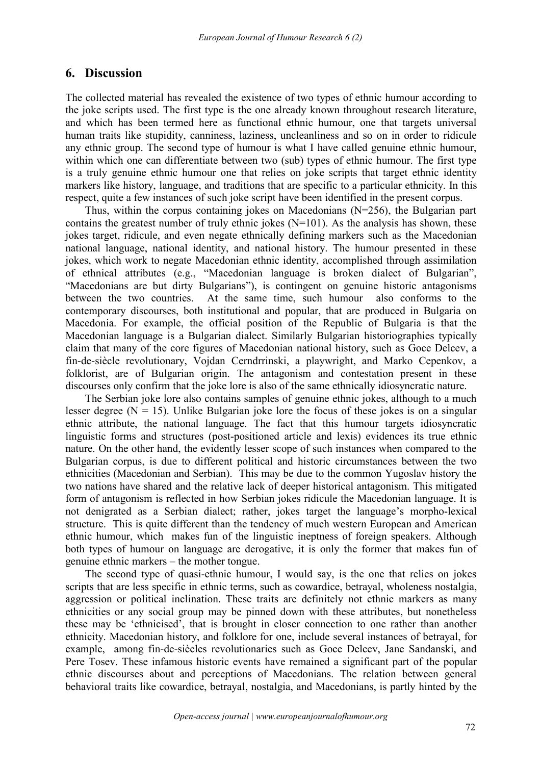#### **6. Discussion**

The collected material has revealed the existence of two types of ethnic humour according to the joke scripts used. The first type is the one already known throughout research literature, and which has been termed here as functional ethnic humour, one that targets universal human traits like stupidity, canniness, laziness, uncleanliness and so on in order to ridicule any ethnic group. The second type of humour is what I have called genuine ethnic humour, within which one can differentiate between two (sub) types of ethnic humour. The first type is a truly genuine ethnic humour one that relies on joke scripts that target ethnic identity markers like history, language, and traditions that are specific to a particular ethnicity. In this respect, quite a few instances of such joke script have been identified in the present corpus.

Thus, within the corpus containing jokes on Macedonians (N=256), the Bulgarian part contains the greatest number of truly ethnic jokes  $(N=101)$ . As the analysis has shown, these jokes target, ridicule, and even negate ethnically defining markers such as the Macedonian national language, national identity, and national history. The humour presented in these jokes, which work to negate Macedonian ethnic identity, accomplished through assimilation of ethnical attributes (e.g., "Macedonian language is broken dialect of Bulgarian", "Macedonians are but dirty Bulgarians"), is contingent on genuine historic antagonisms between the two countries. At the same time, such humour also conforms to the contemporary discourses, both institutional and popular, that are produced in Bulgaria on Macedonia. For example, the official position of the Republic of Bulgaria is that the Macedonian language is a Bulgarian dialect. Similarly Bulgarian historiographies typically claim that many of the core figures of Macedonian national history, such as Goce Delcev, a fin-de-siècle revolutionary, Vojdan Cerndrrinski, a playwright, and Marko Cepenkov, a folklorist, are of Bulgarian origin. The antagonism and contestation present in these discourses only confirm that the joke lore is also of the same ethnically idiosyncratic nature.

The Serbian joke lore also contains samples of genuine ethnic jokes, although to a much lesser degree ( $N = 15$ ). Unlike Bulgarian joke lore the focus of these jokes is on a singular ethnic attribute, the national language. The fact that this humour targets idiosyncratic linguistic forms and structures (post-positioned article and lexis) evidences its true ethnic nature. On the other hand, the evidently lesser scope of such instances when compared to the Bulgarian corpus, is due to different political and historic circumstances between the two ethnicities (Macedonian and Serbian). This may be due to the common Yugoslav history the two nations have shared and the relative lack of deeper historical antagonism. This mitigated form of antagonism is reflected in how Serbian jokes ridicule the Macedonian language. It is not denigrated as a Serbian dialect; rather, jokes target the language's morpho-lexical structure. This is quite different than the tendency of much western European and American ethnic humour, which makes fun of the linguistic ineptness of foreign speakers. Although both types of humour on language are derogative, it is only the former that makes fun of genuine ethnic markers – the mother tongue.

The second type of quasi-ethnic humour, I would say, is the one that relies on jokes scripts that are less specific in ethnic terms, such as cowardice, betrayal, wholeness nostalgia, aggression or political inclination. These traits are definitely not ethnic markers as many ethnicities or any social group may be pinned down with these attributes, but nonetheless these may be 'ethnicised', that is brought in closer connection to one rather than another ethnicity. Macedonian history, and folklore for one, include several instances of betrayal, for example, among fin-de-siècles revolutionaries such as Goce Delcev, Jane Sandanski, and Pere Tosev. These infamous historic events have remained a significant part of the popular ethnic discourses about and perceptions of Macedonians. The relation between general behavioral traits like cowardice, betrayal, nostalgia, and Macedonians, is partly hinted by the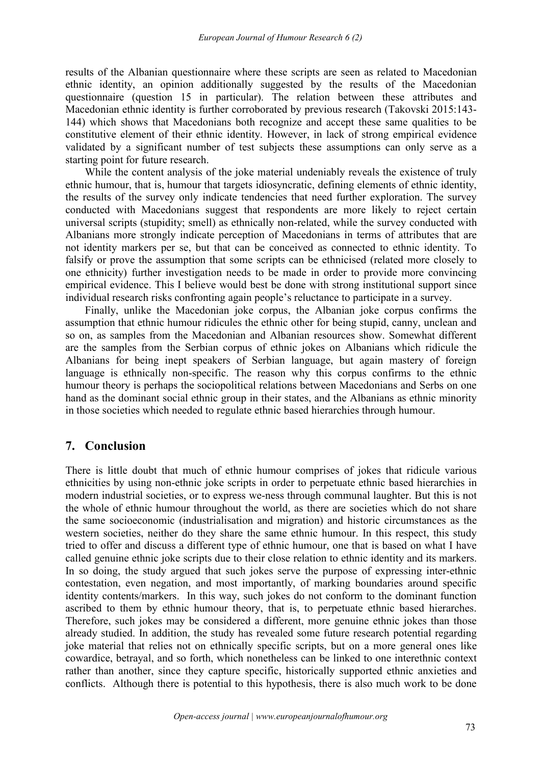results of the Albanian questionnaire where these scripts are seen as related to Macedonian ethnic identity, an opinion additionally suggested by the results of the Macedonian questionnaire (question 15 in particular). The relation between these attributes and Macedonian ethnic identity is further corroborated by previous research (Takovski 2015:143- 144) which shows that Macedonians both recognize and accept these same qualities to be constitutive element of their ethnic identity. However, in lack of strong empirical evidence validated by a significant number of test subjects these assumptions can only serve as a starting point for future research.

While the content analysis of the joke material undeniably reveals the existence of truly ethnic humour, that is, humour that targets idiosyncratic, defining elements of ethnic identity, the results of the survey only indicate tendencies that need further exploration. The survey conducted with Macedonians suggest that respondents are more likely to reject certain universal scripts (stupidity; smell) as ethnically non-related, while the survey conducted with Albanians more strongly indicate perception of Macedonians in terms of attributes that are not identity markers per se, but that can be conceived as connected to ethnic identity.To falsify or prove the assumption that some scripts can be ethnicised (related more closely to one ethnicity) further investigation needs to be made in order to provide more convincing empirical evidence. This I believe would best be done with strong institutional support since individual research risks confronting again people's reluctance to participate in a survey.

Finally, unlike the Macedonian joke corpus, the Albanian joke corpus confirms the assumption that ethnic humour ridicules the ethnic other for being stupid, canny, unclean and so on, as samples from the Macedonian and Albanian resources show. Somewhat different are the samples from the Serbian corpus of ethnic jokes on Albanians which ridicule the Albanians for being inept speakers of Serbian language, but again mastery of foreign language is ethnically non-specific. The reason why this corpus confirms to the ethnic humour theory is perhaps the sociopolitical relations between Macedonians and Serbs on one hand as the dominant social ethnic group in their states, and the Albanians as ethnic minority in those societies which needed to regulate ethnic based hierarchies through humour.

## **7. Conclusion**

There is little doubt that much of ethnic humour comprises of jokes that ridicule various ethnicities by using non-ethnic joke scripts in order to perpetuate ethnic based hierarchies in modern industrial societies, or to express we-ness through communal laughter. But this is not the whole of ethnic humour throughout the world, as there are societies which do not share the same socioeconomic (industrialisation and migration) and historic circumstances as the western societies, neither do they share the same ethnic humour. In this respect, this study tried to offer and discuss a different type of ethnic humour, one that is based on what I have called genuine ethnic joke scripts due to their close relation to ethnic identity and its markers. In so doing, the study argued that such jokes serve the purpose of expressing inter-ethnic contestation, even negation, and most importantly, of marking boundaries around specific identity contents/markers. In this way, such jokes do not conform to the dominant function ascribed to them by ethnic humour theory, that is, to perpetuate ethnic based hierarches. Therefore, such jokes may be considered a different, more genuine ethnic jokes than those already studied. In addition, the study has revealed some future research potential regarding joke material that relies not on ethnically specific scripts, but on a more general ones like cowardice, betrayal, and so forth, which nonetheless can be linked to one interethnic context rather than another, since they capture specific, historically supported ethnic anxieties and conflicts. Although there is potential to this hypothesis, there is also much work to be done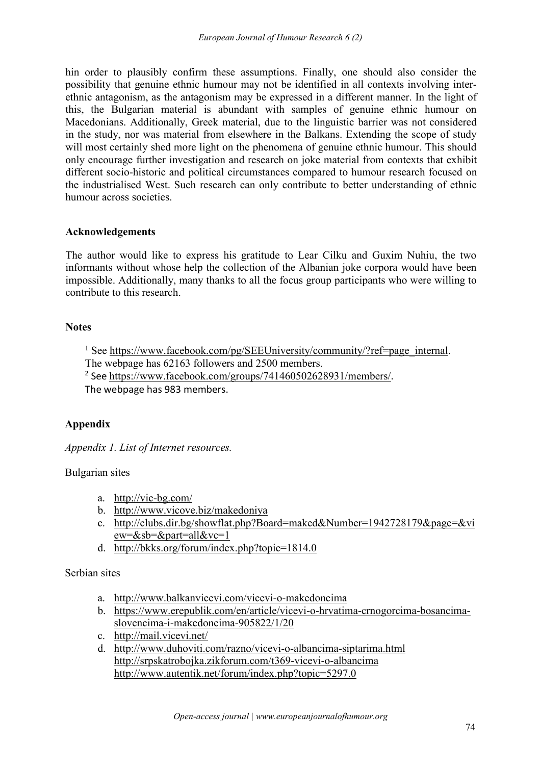hin order to plausibly confirm these assumptions. Finally, one should also consider the possibility that genuine ethnic humour may not be identified in all contexts involving inter ethnic antagonism, as the antagonism may be expressed in a different manner. In the light of this, the Bulgarian material is abundant with samples of genuine ethnic humour on Macedonians. Additionally, Greek material, due to the linguistic barrier was not considered in the study, nor was material from elsewhere in the Balkans. Extending the scope of study will most certainly shed more light on the phenomena of genuine ethnic humour. This should only encourage further investigation and research on joke material from contexts that exhibit different socio-historic and political circumstances compared to humour research focused on the industrialised West. Such research can only contribute to better understanding of ethnic humour across societies.

#### **Acknowledgements**

The author would like to express his gratitude to Lear Cilku and Guxim Nuhiu, the two informants without whose help the collection of the Albanian joke corpora would have been impossible. Additionally, many thanks to all the focus group participants who were willing to contribute to this research.

## **Notes**

<span id="page-14-1"></span><span id="page-14-0"></span><sup>1</sup> See [https://www.facebook.com/pg/SEEUniversity/community/?ref=page\\_internal](https://www.facebook.com/pg/SEEUniversity/community/?ref=page_internal). The webpage has 62163 followers and 2500 members. <sup>2</sup> See <https://www.facebook.com/groups/741460502628931/members/>. The webpage has 983 members.

## **Appendix**

*Appendix 1. List of Internet resources.*

## Bulgarian sites

- a. <http://vic-bg.com/>
- b. <http://www.vicove.biz/makedoniya>
- c. [http://clubs.dir.bg/showflat.php?Board=maked&Number=1942728179&page=&vi](http://clubs.dir.bg/showflat.php?Board=maked&Number=1942728179&page=&view=&sb=&part=all&vc=1) ew=&sb=&part=all&vc=1
- d. <http://bkks.org/forum/index.php?topic=1814.0>

Serbian sites

- a. <http://www.balkanvicevi.com/vicevi-o-makedoncima>
- b. [https://www.erepublik.com/en/article/vicevi-o-hrvatima-crnogorcima-bosancima](https://www.erepublik.com/en/article/vicevi-o-hrvatima-crnogorcima-bosancima-slovencima-i-makedoncima-905822/1/20) slovencima-i-makedoncima-905822/1/20
- c. <http://mail.vicevi.net/>
- d. <http://www.duhoviti.com/razno/vicevi-o-albancima-siptarima.html> <http://srpskatrobojka.zikforum.com/t369-vicevi-o-albancima> <http://www.autentik.net/forum/index.php?topic=5297.0>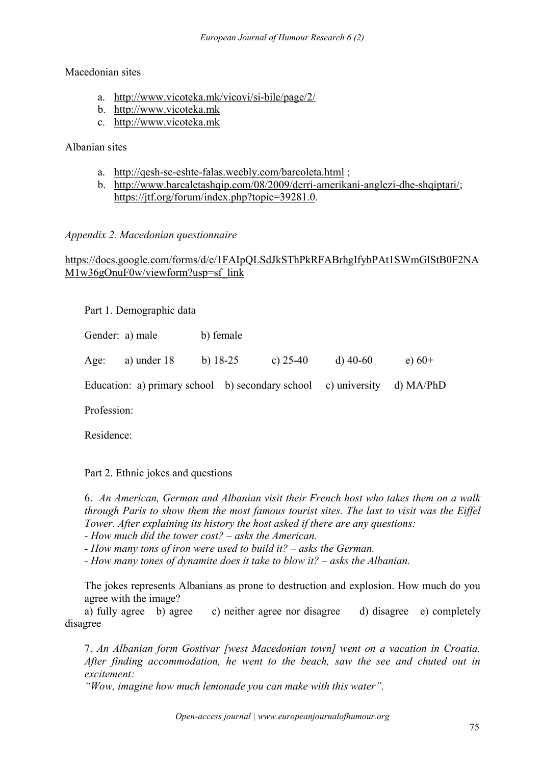### Macedonian sites

- a. <http://www.vicoteka.mk/vicovi/si-bile/page/2/>
- b. <http://www.vicoteka.mk>
- c. <http://www.vicoteka.mk>

## Albanian sites

- a. <http://qesh-se-eshte-falas.weebly.com/barcoleta.html> ;
- b. <http://www.barcaletashqip.com/08/2009/derri-amerikani-anglezi-dhe-shqiptari/>; <https://jtf.org/forum/index.php?topic=39281.0>.

### *Appendix 2. Macedonian questionnaire*

## [https://docs.google.com/forms/d/e/1FAIpQLSdJkSThPkRFABrhgIfybPAt1SWmGlStB0F2NA](https://docs.google.com/forms/d/e/1FAIpQLSdJkSThPkRFABrhgIfybPAt1SWmGlStB0F2NAM1w36gOnuF0w/viewform?usp=sf_link) M1w36gOnuF0w/viewform?usp=sf\_link

Part 1. Demographic data

|             | Gender: a) male                                                          | b) female  |            |            |          |  |
|-------------|--------------------------------------------------------------------------|------------|------------|------------|----------|--|
| Age:        | a) under $18$                                                            | b) $18-25$ | c) $25-40$ | d) $40-60$ | e) $60+$ |  |
|             | Education: a) primary school b) secondary school c) university d) MA/PhD |            |            |            |          |  |
| Profession: |                                                                          |            |            |            |          |  |

Residence:

## Part 2. Ethnic jokes and questions

6. *An American, German and Albanian visit their French host who takes them on a walk through Paris to show them the most famous tourist sites. The last to visit was the Eif el Tower. After explaining its history the host asked if there are any questions:*

*- How much did the tower cost? – asks the American.*

*- How many tons of iron were used to build it? – asks the German.*

*- How many tones of dynamite does it take to blow it? – asks the Albanian.*

The jokes represents Albanians as prone to destruction and explosion. How much do you agree with the image?

а) fully agree b) agree c) neither agree nor disagree d) disagree e) completely disagree

7. *An Albanian form Gostivar [west Macedonian town] went on a vacation in Croatia. After finding accommodation, he went to the beach, saw the see and chuted out in excitement:*

*"Wow, imagine how much lemonade you can make with this water".*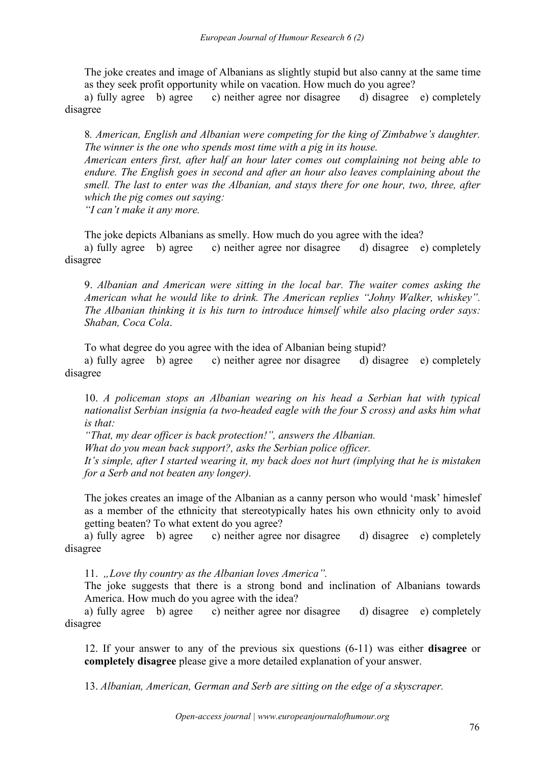The joke creates and image of Albanians as slightly stupid but also canny at the same time as they seek profit opportunity while on vacation. How much do you agree?

а) fully agree b) agree c) neither agree nor disagree d) disagree e) completely disagree

8*. American, English and Albanian were competing for the king of Zimbabwe's daughter. The winner is the one who spends mosttime with a pig in its house. American enters first, after half an hour later comes out complaining not being able to*

*endure. The English goesin second and after an hour also leaves complaining about the smell. The last to enter was the Albanian, and stays there for one hour, two, three, after which the pig comes out saying:* 

*"I can't make it any more.*

The joke depicts Albanians as smelly. How much do you agree with the idea? а) fully agree b) agree c) neither agree nor disagree d) disagree e) completely disagree

9. *Albanian and American were sitting in the local bar. The waiter comes asking the American what he would like to drink. The American replies "Johny Walker, whiskey". The Albanian thinking it is his turn to introduce himself while also placing order says: Shaban, Coca Cola*.

To what degree do you agree with the idea of Albanian being stupid?

а) fully agree b) agree c) neither agree nor disagree d) disagree e) completely disagree

10. *A policeman stops an Albanian wearing on his head a Serbian hat with typical nationalist Serbian insignia (a two-headed eagle with the four S cross) and asks him what is that:*

*"That, my dear of icer is back protection!", answers the Albanian. What do you mean back support?, asks the Serbian police of icer. It's simple, after I started wearing it, my back does not hurt (implying that he is mistaken for a Serb and not beaten any longer).*

The jokes creates an image of the Albanian as a canny person who would 'mask' himeslef as a member of the ethnicity that stereotypically hates his own ethnicity only to avoid getting beaten? To what extent do you agree?

а) fully agree b) agree c) neither agree nor disagree d) disagree e) completely disagree

11. *"Love thy country as the Albanian loves America".*

The joke suggests that there is a strong bond and inclination of Albanians towards America. How much do you agree with the idea?

а) fully agree b) agree c) neither agree nor disagree d) disagree e) completely disagree

12. If your answer to any of the previous six questions (6-11) was either **disagree** or **completely disagree** please give a more detailed explanation of your answer.

13. *Albanian, American, German and Serb are sitting on the edge ofa skyscraper.*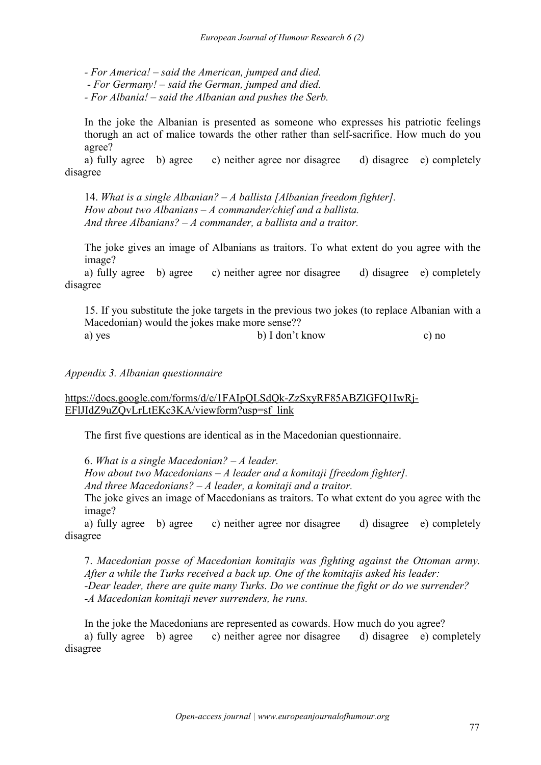*- For America! – said the American, jumped and died.*

*- For Germany! – said the German, jumped and died.*

*- For Albania! – said the Albanian and pushes the Serb.*

In the joke the Albanian is presented as someone who expresses his patriotic feelings thorugh an act of malice towards the other rather than self-sacrifice. How much do you agree?

а) fully agree b) agree c) neither agree nor disagree d) disagree e) completely disagree

14. *What is a single Albanian? – A ballista [Albanian freedom fighter]. How about two Albanians – A commander/chief and a ballista. And three Albanians? – A commander, a ballista and a traitor.*

The joke gives an image of Albanians as traitors. To what extent do you agree with the image?

а) fully agree b) agree c) neither agree nor disagree d) disagree e) completely disagree

15. If you substitute the joke targets in the previous two jokes (to replace Albanian with a Macedonian) would the jokes make more sense?? a) yes b) I don't know c) no

#### *Appendix 3. Albanian questionnaire*

### [https://docs.google.com/forms/d/e/1FAIpQLSdQk-ZzSxyRF85ABZlGFQ1IwRj-](https://docs.google.com/forms/d/e/1FAIpQLSdQk-ZzSxyRF85ABZlGFQ1IwRj-EFlJIdZ9uZQvLrLtEKc3KA/viewform?usp=sf_link) EFlJIdZ9uZQvLrLtEKc3KA/viewform?usp=sf\_link

The first five questions are identical as in the Macedonian questionnaire.

6. *What is a single Macedonian? – A leader.*

*How about two Macedonians – A leader and a komitaji [freedom fighter].*

*And three Macedonians? – A leader, a komitaji and a traitor.*

The joke gives an image of Macedonians as traitors. To what extent do you agree with the image?

а) fully agree b) agree c) neither agree nor disagree d) disagree e) completely disagree

7. *Macedonian posse of Macedonian komitajis was fighting against the Ottoman army. After a while the Turks received a back up. One of the komitajis asked his leader: -Dear leader, there are quite many Turks. Do we continue the fight or do we surrender? -A Macedonian komitaji never surrenders, he runs.*

In the joke the Macedonians are represented as cowards. How much do you agree? а) fully agree b) agree c) neither agree nor disagree d) disagree e) completely disagree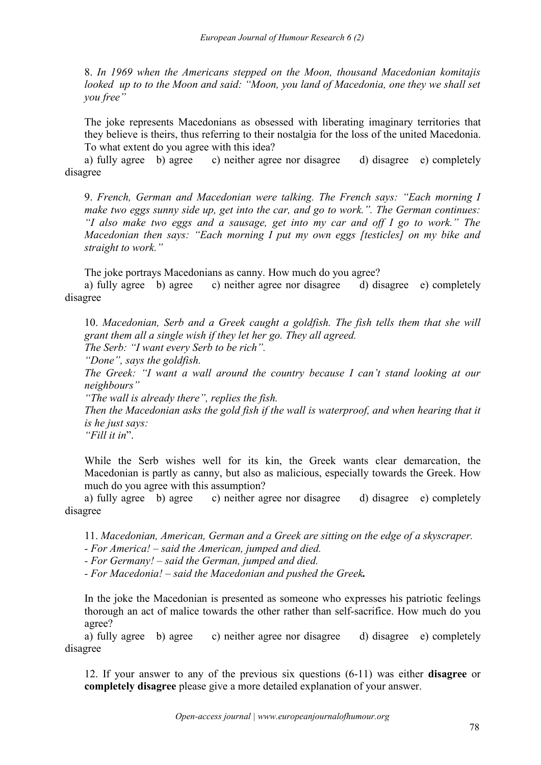8. *In 1969 when the Americans stepped on the Moon, thousand Macedonian komitajis looked up to to the Moon and said: "Moon, you land of Macedonia, one they we shall set you free"*

The joke represents Macedonians as obsessed with liberating imaginary territories that they believe is theirs, thus referring to their nostalgia for the loss of the united Macedonia. To what extent do you agree with this idea?

а) fully agree b) agree c) neither agree nor disagree d) disagree e) completely disagree

9. *French, German and Macedonian were talking. The French says: "Each morning I make two eggs sunny side up, get into the car, and go to work.". The German continues: "I also make two eggs and a sausage, get into my car and of I go to work." The Macedonian then says: "Each morning I put my own eggs [testicles] on my bike and straight to work."*

The joke portrays Macedonians as canny. How much do you agree?

а) fully agree b) agree c) neither agree nor disagree d) disagree e) completely disagree

10. *Macedonian, Serb and a Greek caught a goldfish. The fish tells them that she will grant them all a single wish if they let her go. They all agreed.*

*The Serb: "I want every Serb to be rich".*

"Done", says the goldfish.<br>The Greek: "I want a wall around the country because I can't stand looking at our *neighbours"*

*"The wall is already there", replies the fish.*

*Then the Macedonian asks the gold fish if the wallis waterproof, and when hearing that it is he just says:*

*"Fill it in*".

While the Serb wishes well for its kin, the Greek wants clear demarcation, the Macedonian is partly as canny, but also as malicious, especially towards the Greek. How much do you agree with this assumption?

а) fully agree b) agree c) neither agree nor disagree d) disagree e) completely disagree

11. *Macedonian, American, German and a Greek are sitting on the edge ofa skyscraper.*

*- For America! – said the American, jumped and died.*

*- For Germany! – said the German, jumped and died.*

*- For Macedonia! – said the Macedonian and pushed the Greek.*

In the joke the Macedonian is presented as someone who expresses his patriotic feelings thorough an act of malice towards the other rather than self-sacrifice. How much do you agree?

а) fully agree b) agree c) neither agree nor disagree d) disagree e) completely disagree

12. If your answer to any of the previous six questions (6-11) was either **disagree** or **completely disagree** please give a more detailed explanation of your answer.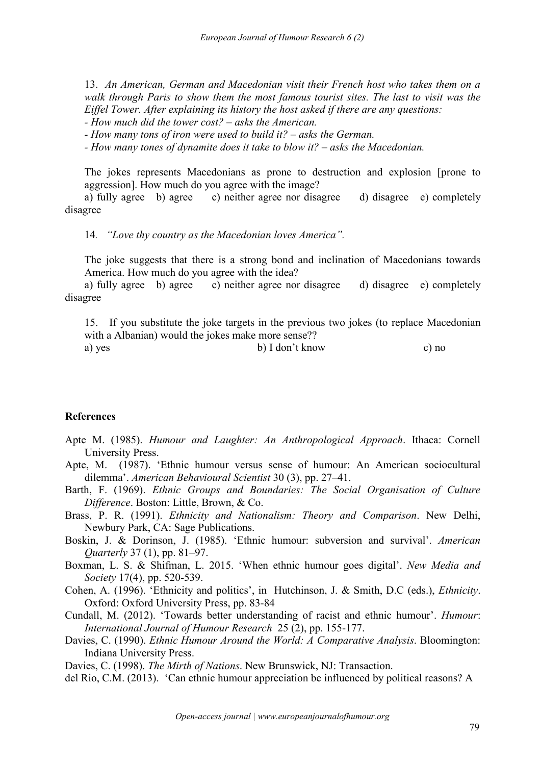13. *An American, German and Macedonian visit their French host who takes them on a walk through Paris to show them the most famous tourist sites. The last to visit was the Eif el Tower. After explaining its history the host asked if there are any questions: - How much did the tower cost? – asks the American.*

*- How many tons of iron were used to build it? – asks the German.*

*- How many tones of dynamite does it take to blow it? – asks the Macedonian.*

The jokes represents Macedonians as prone to destruction and explosion [prone to aggression]. How much do you agree with the image?

а) fully agree b) agree c) neither agree nor disagree d) disagree e) completely disagree

14*. "Love thy country as the Macedonian loves America".*

The joke suggests that there is a strong bond and inclination of Macedonians towards America. How much do you agree with the idea?

а) fully agree b) agree c) neither agree nor disagree d) disagree e) completely disagree

15. If you substitute the joke targets in the previous two jokes (to replace Macedonian with a Albanian) would the jokes make more sense??

a) yes b) I don't know c) no

#### **References**

Apte M. (1985). *Humour and Laughter: An Anthropological Approach*. Ithaca: Cornell University Press.

Apte, M. (1987). 'Ethnic humour versus sense of humour: An American sociocultural dilemma'. *American Behavioural Scientist* 30 (3), pp. 27–41.

- Barth, F. (1969). *Ethnic Groups and Boundaries: The Social Organisation of Culture Dif erence*. Boston: Little, Brown, & Co.
- Brass, P. R. (1991). *Ethnicity and Nationalism: Theory and Comparison*. New Delhi, Newbury Park, CA:Sage Publications.
- Boskin, J. & Dorinson, J. (1985). 'Ethnic humour: subversion and survival'. *American Quarterly* 37 (1), pp. 81–97.
- Boxman, L. S. & Shifman, L. 2015. 'When ethnic humour goes digital'. *New Media and Society* 17(4), pp. 520-539.
- Cohen, A. (1996). 'Ethnicity and politics', in Hutchinson, J. & Smith, D.C (eds.), *Ethnicity*. Oxford: Oxford University Press, pp. 83-84
- Cundall, M. (2012). 'Towards better understanding of racist and ethnic humour'. *Humour*: *International Journal of Humour Research* 25 (2), pp. 155-177.
- Davies, C. (1990). *Ethnic Humour Around the World: A Comparative Analysis*. Bloomington: Indiana University Press.

Davies, C. (1998). *The Mirth of Nations*. New Brunswick, NJ: Transaction.

del Rio, C.M. (2013). 'Can ethnic humour appreciation be influenced by political reasons? A